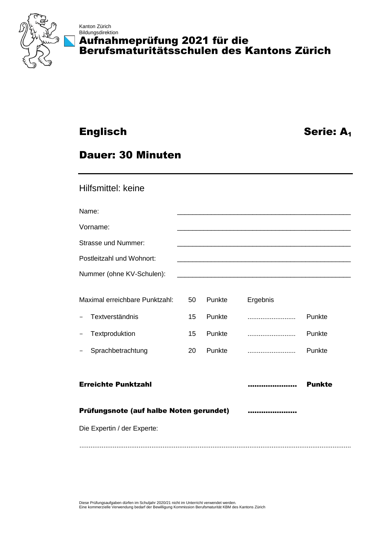

## Kanton Zürich Bildungsdirektion Aufnahmeprüfung 2021 für die Berufsmaturitätsschulen des Kantons Zürich

# Englisch Serie: A<sup>1</sup>

# Dauer: 30 Minuten

## Hilfsmittel: keine

Name: \_\_\_\_\_\_\_\_\_\_\_\_\_\_\_\_\_\_\_\_\_\_\_\_\_\_\_\_\_\_\_\_\_\_\_\_\_\_\_\_\_\_\_\_\_\_

| Vorname:<br>_______ |  |
|---------------------|--|
|                     |  |

Strasse und Nummer:

Nummer (ohne KV-Schulen):

Postleitzahl und Wohnort:

| Maximal erreichbare Punktzahl: | 50 | Punkte | Ergebnis |        |
|--------------------------------|----|--------|----------|--------|
| Textverständnis<br>$\sim$      | 15 | Punkte |          | Punkte |
| - Textproduktion               | 15 | Punkte |          | Punkte |
| - Sprachbetrachtung            | 20 | Punkte |          | Punkte |

## Erreichte Punktzahl ...................... Punkte

## Prüfungsnote (auf halbe Noten gerundet) ........................

Die Expertin / der Experte:

...................................................................................................................................................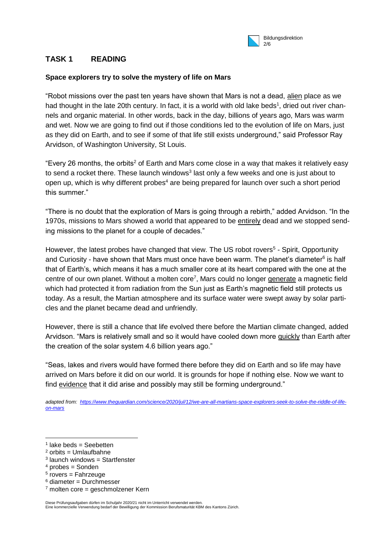

## **TASK 1 READING**

## **Space explorers try to solve the mystery of life on Mars**

"Robot missions over the past ten years have shown that Mars is not a dead, alien place as we had thought in the late 20th century. In fact, it is a world with old lake beds<sup>1</sup>, dried out river channels and organic material. In other words, back in the day, billions of years ago, Mars was warm and wet. Now we are going to find out if those conditions led to the evolution of life on Mars, just as they did on Earth, and to see if some of that life still exists underground," said Professor Ray Arvidson, of Washington University, St Louis.

"Every 26 months, the orbits<sup>2</sup> of Earth and Mars come close in a way that makes it relatively easy to send a rocket there. These launch windows<sup>3</sup> last only a few weeks and one is just about to open up, which is why different probes<sup>4</sup> are being prepared for launch over such a short period this summer."

"There is no doubt that the exploration of Mars is going through a rebirth," added Arvidson. "In the 1970s, missions to Mars showed a world that appeared to be entirely dead and we stopped sending missions to the planet for a couple of decades."

However, the latest probes have changed that view. The US robot rovers<sup>5</sup> - Spirit, Opportunity and Curiosity - have shown that Mars must once have been warm. The planet's diameter<sup>6</sup> is half that of Earth's, which means it has a much smaller core at its heart compared with the one at the centre of our own planet. Without a molten core<sup>7</sup>, Mars could no longer generate a magnetic field which had protected it from radiation from the Sun just as Earth's magnetic field still protects us today. As a result, the Martian atmosphere and its surface water were swept away by solar particles and the planet became dead and unfriendly.

However, there is still a chance that life evolved there before the Martian climate changed, added Arvidson. "Mars is relatively small and so it would have cooled down more quickly than Earth after the creation of the solar system 4.6 billion years ago."

"Seas, lakes and rivers would have formed there before they did on Earth and so life may have arrived on Mars before it did on our world. It is grounds for hope if nothing else. Now we want to find evidence that it did arise and possibly may still be forming underground."

*adapted from: [https://www.theguardian.com/science/2020/jul/12/we-are-all-martians-space-explorers-seek-to-solve-the-riddle-of-life](https://www.theguardian.com/science/2020/jul/12/we-are-all-martians-space-explorers-seek-to-solve-the-riddle-of-life-on-mars)[on-mars](https://www.theguardian.com/science/2020/jul/12/we-are-all-martians-space-explorers-seek-to-solve-the-riddle-of-life-on-mars)*

- 3 launch windows = Startfenster
- $4$  probes = Sonden

 $\overline{a}$ 

- <sup>5</sup> rovers = Fahrzeuge
- $6$  diameter = Durchmesser
- $7$  molten core = geschmolzener Kern

Diese Prüfungsaufgaben dürfen im Schuljahr 2020/21 nicht im Unterricht verwendet werden. Eine kommerzielle Verwendung bedarf der Bewilligung der Kommission Berufsmaturität KBM des Kantons Zürich.

<sup>1</sup> lake beds = Seebetten

 $2$  orbits = Umlaufbahne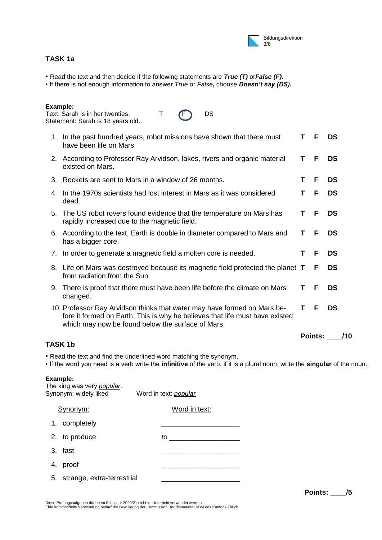

## **TASK 1a**

- Read the text and then decide if the following statements are *True (T)* or*False (F)*.
- If there is not enough information to answer *True* or *False***,** choose *Doesn't say (DS).*

#### **Example:**

Text: Sarah is in her twenties.  $T \t F$  DS Statement: Sarah is 18 years old.

| 1. In the past hundred years, robot missions have shown that there must<br>have been life on Mars.                                                                                                            | Τ  | F              | DS        |
|---------------------------------------------------------------------------------------------------------------------------------------------------------------------------------------------------------------|----|----------------|-----------|
| 2. According to Professor Ray Arvidson, lakes, rivers and organic material<br>existed on Mars.                                                                                                                | Τ  | F              | DS        |
| 3. Rockets are sent to Mars in a window of 26 months.                                                                                                                                                         | т  | F              | <b>DS</b> |
| 4. In the 1970s scientists had lost interest in Mars as it was considered<br>dead.                                                                                                                            | Τ  | E              | DS        |
| 5. The US robot rovers found evidence that the temperature on Mars has<br>rapidly increased due to the magnetic field.                                                                                        | Τ  | F              | <b>DS</b> |
| 6. According to the text, Earth is double in diameter compared to Mars and<br>has a bigger core.                                                                                                              | Τ  | F              | DS        |
| 7. In order to generate a magnetic field a molten core is needed.                                                                                                                                             | т. | F              | DS        |
| 8. Life on Mars was destroyed because its magnetic field protected the planet <b>T</b><br>from radiation from the Sun.                                                                                        |    | F              | <b>DS</b> |
| 9. There is proof that there must have been life before the climate on Mars<br>changed.                                                                                                                       | Τ  | F              | DS        |
| 10. Professor Ray Arvidson thinks that water may have formed on Mars be-<br>fore it formed on Earth. This is why he believes that life must have existed<br>which may now be found below the surface of Mars. | T. | F              | DS        |
|                                                                                                                                                                                                               |    | <b>Points:</b> | /10       |

## **TASK 1b**

• Read the text and find the underlined word matching the synonym.

• If the word you need is a verb write the **infinitive** of the verb, if it is a plural noun, write the **singular** of the noun.

### **Example:**

| The king was very <i>popular</i> .<br>Synonym: widely liked | Word in text: <i>popular</i> |
|-------------------------------------------------------------|------------------------------|
| Synonym:                                                    | Word in text:                |
| 1. completely                                               |                              |
| 2. to produce                                               | to                           |
| 3. fast                                                     |                              |
| 4. proof                                                    |                              |
| 5. strange, extra-terrestrial                               |                              |
|                                                             |                              |

Eine kommerzielle Verwendung bedarf der Bewilligung der Kommission Berufsmaturität KBM des Kantons Zürich.

Diese Prüfungsaufgaben dürfen im Schuljahr 2020/21 nicht im Unterricht verwendet werden.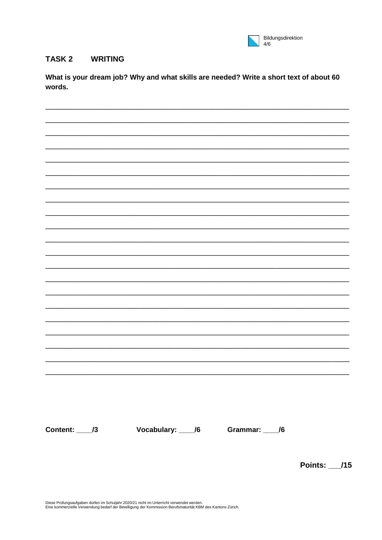

#### **WRITING TASK2**

What is your dream job? Why and what skills are needed? Write a short text of about 60 words.

Content: 13 Vocabulary: 16 Grammar: 16

**Points: /15** 

Diese Prüfungsaufgaben dürfen im Schuljahr 2020/21 nicht im Unterricht verwendet werden. Eine kommerzielle Verwendung bedarf der Bewilligung der Kommission Berufsmaturität KBM des Kantons Zürich.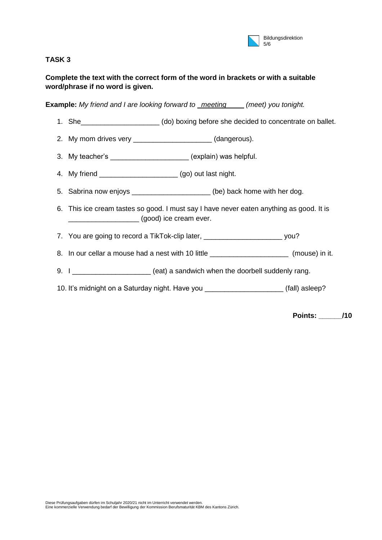| Bildungsdirektion |
|-------------------|
| 5/6               |

## **TASK 3**

## **Complete the text with the correct form of the word in brackets or with a suitable word/phrase if no word is given.**

**Example:** *My friend and I are looking forward to meeting (meet) you tonight.* 

- 1. She\_\_\_\_\_\_\_\_\_\_\_\_\_\_\_\_\_\_\_\_ (do) boxing before she decided to concentrate on ballet.
- 2. My mom drives very \_\_\_\_\_\_\_\_\_\_\_\_\_\_\_\_\_\_\_\_\_(dangerous).
- 3. My teacher's explain) was helpful.
- 4. My friend \_\_\_\_\_\_\_\_\_\_\_\_\_\_\_\_\_\_\_\_ (go) out last night.
- 5. Sabrina now enjoys \_\_\_\_\_\_\_\_\_\_\_\_\_\_\_\_\_\_\_\_(be) back home with her dog.
- 6. This ice cream tastes so good. I must say I have never eaten anything as good. It is \_\_\_\_\_\_\_\_\_\_\_\_\_\_\_\_\_\_ (good) ice cream ever.
- 7. You are going to record a TikTok-clip later, \_\_\_\_\_\_\_\_\_\_\_\_\_\_\_\_\_\_\_\_\_\_\_\_\_\_\_\_\_\_\_vou?
- 8. In our cellar a mouse had a nest with 10 little \_\_\_\_\_\_\_\_\_\_\_\_\_\_\_\_\_\_\_\_\_\_\_ (mouse) in it.
- 9. I \_\_\_\_\_\_\_\_\_\_\_\_\_\_\_\_\_\_\_\_\_\_\_\_\_\_ (eat) a sandwich when the doorbell suddenly rang.
- 10. It's midnight on a Saturday night. Have you **come that it is easily contained** (fall) asleep?

**Points: \_\_\_\_\_\_/10**